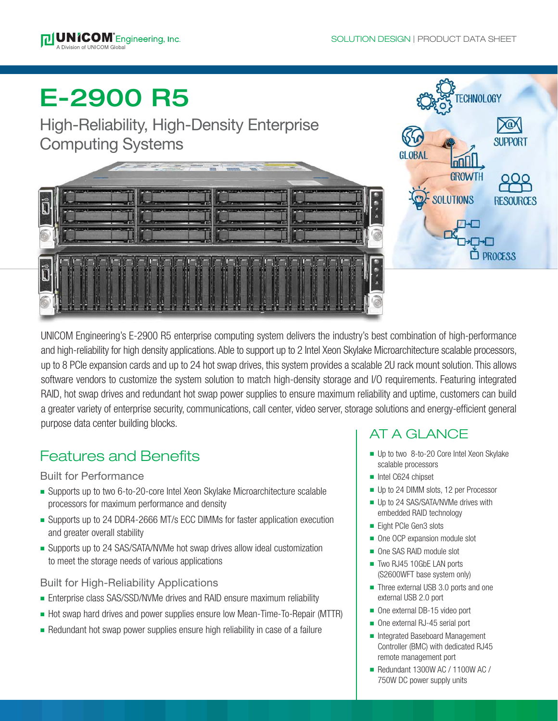**TECHNOLOGY** 

**GROWTH** 

**SOLUTIONS** 

**SUPPORT** 

**RESOURCES** 

 $\Box$  PROCESS



# E-2900 R5

# High-Reliability, High-Density Enterprise Computing Systems



UNICOM Engineering's E-2900 R5 enterprise computing system delivers the industry's best combination of high-performance and high-reliability for high density applications. Able to support up to 2 Intel Xeon Skylake Microarchitecture scalable processors, up to 8 PCIe expansion cards and up to 24 hot swap drives, this system provides a scalable 2U rack mount solution. This allows software vendors to customize the system solution to match high-density storage and I/O requirements. Featuring integrated RAID, hot swap drives and redundant hot swap power supplies to ensure maximum reliability and uptime, customers can build a greater variety of enterprise security, communications, call center, video server, storage solutions and energy-efficient general purpose data center building blocks.

# Features and Benefits

# Built for Performance

- Supports up to two 6-to-20-core Intel Xeon Skylake Microarchitecture scalable processors for maximum performance and density
- Supports up to 24 DDR4-2666 MT/s ECC DIMMs for faster application execution and greater overall stability
- Supports up to 24 SAS/SATA/NVMe hot swap drives allow ideal customization to meet the storage needs of various applications

# Built for High-Reliability Applications

- Enterprise class SAS/SSD/NVMe drives and RAID ensure maximum reliability
- Hot swap hard drives and power supplies ensure low Mean-Time-To-Repair (MTTR)
- Redundant hot swap power supplies ensure high reliability in case of a failure

# AT A GLANCE

- Up to two 8-to-20 Core Intel Xeon Skylake scalable processors
- ntel C624 chipset
- Up to 24 DIMM slots, 12 per Processor
- $\blacksquare$  Up to 24 SAS/SATA/NVMe drives with embedded RAID technology
- Eight PCIe Gen3 slots
- One OCP expansion module slot
- One SAS RAID module slot
- Two RJ45 10GbE LAN ports (S2600WFT base system only)
- Three external USB 3.0 ports and one external USB 2.0 port
- One external DB-15 video port
- One external RJ-45 serial port
- Integrated Baseboard Management Controller (BMC) with dedicated RJ45 remote management port
- $\blacksquare$  Redundant 1300W AC / 1100W AC / 750W DC power supply units